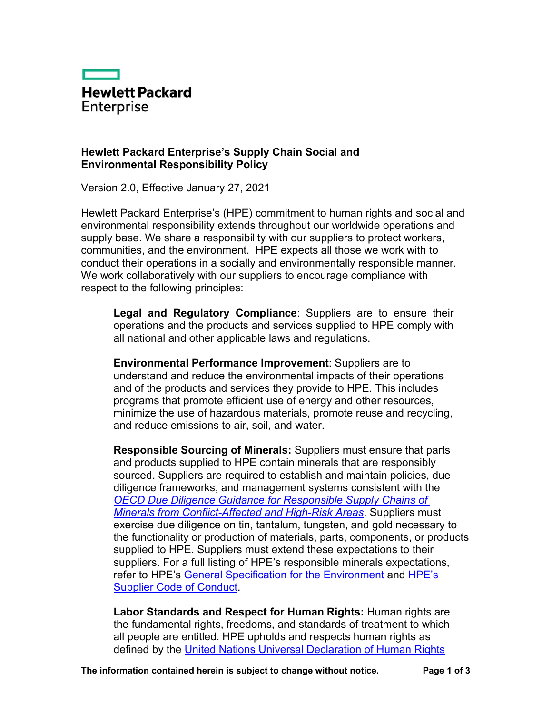

## **Hewlett Packard Enterprise's Supply Chain Social and Environmental Responsibility Policy**

Version 2.0, Effective January 27, 2021

Hewlett Packard Enterprise's (HPE) commitment to human rights and social and environmental responsibility extends throughout our worldwide operations and supply base. We share a responsibility with our suppliers to protect workers, communities, and the environment. HPE expects all those we work with to conduct their operations in a socially and environmentally responsible manner. We work collaboratively with our suppliers to encourage compliance with respect to the following principles:

**Legal and Regulatory Compliance**: Suppliers are to ensure their operations and the products and services supplied to HPE comply with all national and other applicable laws and regulations.

**Environmental Performance Improvement**: Suppliers are to understand and reduce the environmental impacts of their operations and of the products and services they provide to HPE. This includes programs that promote efficient use of energy and other resources, minimize the use of hazardous materials, promote reuse and recycling, and reduce emissions to air, soil, and water.

**Responsible Sourcing of Minerals:** Suppliers must ensure that parts and products supplied to HPE contain minerals that are responsibly sourced. Suppliers are required to establish and maintain policies, due diligence frameworks, and management systems consistent with the *OECD Due Diligence Guidance for Responsible Supply Chains of [Minerals from Conflict-Affected and High-Risk Areas](http://www.oecd.org/daf/inv/mne/mining.htm)*. Suppliers must exercise due diligence on tin, tantalum, tungsten, and gold necessary to the functionality or production of materials, parts, components, or products supplied to HPE. Suppliers must extend these expectations to their suppliers. For a full listing of HPE's responsible minerals expectations, refer to HPE's [General Specification for the Environment](https://h20195.www2.hpe.com/v2/Getdocument.aspx?docname=c04862211&ENW) and [HPE's](https://h20195.www2.hpe.com/v2/Getdocument.aspx?docname=c04797632)  [Supplier Code of Conduct.](https://h20195.www2.hpe.com/v2/Getdocument.aspx?docname=c04797632)

**Labor Standards and Respect for Human Rights:** Human rights are the fundamental rights, freedoms, and standards of treatment to which all people are entitled. HPE upholds and respects human rights as defined by the [United Nations Universal Declaration of Human Rights](https://www.un.org/en/universal-declaration-human-rights/)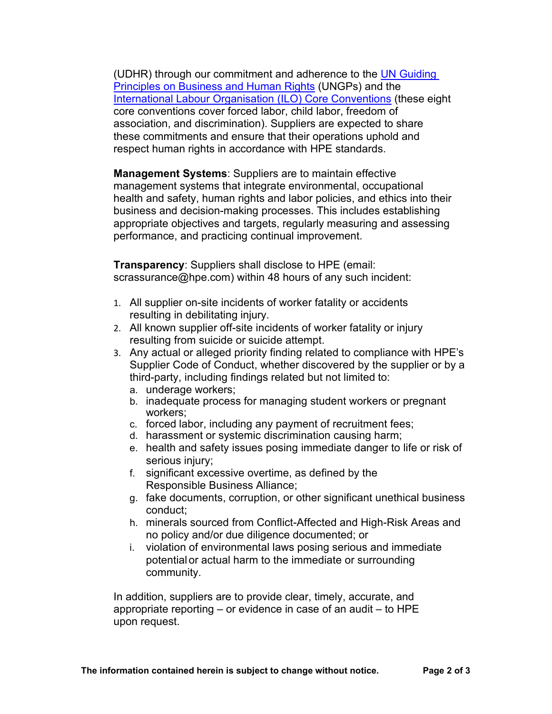(UDHR) through our commitment and adherence to the UN Guiding [Principles on Business and Human Rights](https://www.ohchr.org/documents/publications/guidingprinciplesbusinesshr_en.pdf) (UNGPs) and the [International Labour Organisation \(ILO\) Core](https://www.ilo.org/declaration/lang--en/index.htm) Conventions (these eight core conventions cover forced labor, child labor, freedom of association, and discrimination). Suppliers are expected to share these commitments and ensure that their operations uphold and respect human rights in accordance with HPE standards.

**Management Systems**: Suppliers are to maintain effective management systems that integrate environmental, occupational health and safety, human rights and labor policies, and ethics into their business and decision-making processes. This includes establishing appropriate objectives and targets, regularly measuring and assessing performance, and practicing continual improvement.

**Transparency**: Suppliers shall disclose to HPE (email: scrassurance@hpe.com) within 48 hours of any such incident:

- 1. All supplier on-site incidents of worker fatality or accidents resulting in debilitating injury.
- 2. All known supplier off-site incidents of worker fatality or injury resulting from suicide or suicide attempt.
- 3. Any actual or alleged priority finding related to compliance with HPE's Supplier Code of Conduct, whether discovered by the supplier or by a third-party, including findings related but not limited to:
	- a. underage workers;
	- b. inadequate process for managing student workers or pregnant workers;
	- c. forced labor, including any payment of recruitment fees;
	- d. harassment or systemic discrimination causing harm;
	- e. health and safety issues posing immediate danger to life or risk of serious injury;
	- f. significant excessive overtime, as defined by the Responsible Business Alliance;
	- g. fake documents, corruption, or other significant unethical business conduct;
	- h. minerals sourced from Conflict-Affected and High-Risk Areas and no policy and/or due diligence documented; or
	- i. violation of environmental laws posing serious and immediate potentialor actual harm to the immediate or surrounding community.

In addition, suppliers are to provide clear, timely, accurate, and appropriate reporting – or evidence in case of an audit – to HPE upon request.